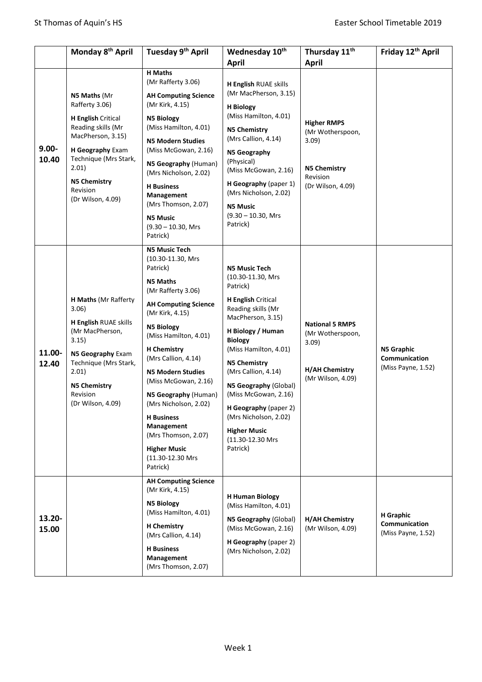|                   | Monday 8 <sup>th</sup> April                                                                                                                                                                                         | Tuesday 9 <sup>th</sup> April                                                                                                                                                                                                                                                                                                                                                                                                                                     | Wednesday 10 <sup>th</sup><br><b>April</b>                                                                                                                                                                                                                                                                                                                                                            | Thursday 11 <sup>th</sup><br><b>April</b>                                                               | Friday 12 <sup>th</sup> April                            |
|-------------------|----------------------------------------------------------------------------------------------------------------------------------------------------------------------------------------------------------------------|-------------------------------------------------------------------------------------------------------------------------------------------------------------------------------------------------------------------------------------------------------------------------------------------------------------------------------------------------------------------------------------------------------------------------------------------------------------------|-------------------------------------------------------------------------------------------------------------------------------------------------------------------------------------------------------------------------------------------------------------------------------------------------------------------------------------------------------------------------------------------------------|---------------------------------------------------------------------------------------------------------|----------------------------------------------------------|
| $9.00 -$<br>10.40 | N5 Maths (Mr<br>Rafferty 3.06)<br><b>H English Critical</b><br>Reading skills (Mr<br>MacPherson, 3.15)<br>H Geography Exam<br>Technique (Mrs Stark,<br>2.01)<br><b>N5 Chemistry</b><br>Revision<br>(Dr Wilson, 4.09) | <b>H</b> Maths<br>(Mr Rafferty 3.06)<br><b>AH Computing Science</b><br>(Mr Kirk, 4.15)<br><b>N5 Biology</b><br>(Miss Hamilton, 4.01)<br><b>N5 Modern Studies</b><br>(Miss McGowan, 2.16)<br>N5 Geography (Human)<br>(Mrs Nicholson, 2.02)<br><b>H</b> Business<br>Management<br>(Mrs Thomson, 2.07)<br><b>N5 Music</b><br>$(9.30 - 10.30, Mrs)$<br>Patrick)                                                                                                       | H English RUAE skills<br>(Mr MacPherson, 3.15)<br><b>H</b> Biology<br>(Miss Hamilton, 4.01)<br><b>N5 Chemistry</b><br>(Mrs Callion, 4.14)<br>N5 Geography<br>(Physical)<br>(Miss McGowan, 2.16)<br>H Geography (paper 1)<br>(Mrs Nicholson, 2.02)<br><b>N5 Music</b><br>$(9.30 - 10.30, Mrs)$<br>Patrick)                                                                                             | <b>Higher RMPS</b><br>(Mr Wotherspoon,<br>3.09)<br><b>N5 Chemistry</b><br>Revision<br>(Dr Wilson, 4.09) |                                                          |
| 11.00-<br>12.40   | <b>H Maths (Mr Rafferty</b><br>3.06)<br>H English RUAE skills<br>(Mr MacPherson,<br>3.15)<br>N5 Geography Exam<br>Technique (Mrs Stark,<br>2.01)<br><b>N5 Chemistry</b><br>Revision<br>(Dr Wilson, 4.09)             | <b>N5 Music Tech</b><br>(10.30-11.30, Mrs<br>Patrick)<br><b>N5 Maths</b><br>(Mr Rafferty 3.06)<br><b>AH Computing Science</b><br>(Mr Kirk, 4.15)<br><b>N5 Biology</b><br>(Miss Hamilton, 4.01)<br><b>H</b> Chemistry<br>(Mrs Callion, 4.14)<br><b>N5 Modern Studies</b><br>(Miss McGowan, 2.16)<br>N5 Geography (Human)<br>(Mrs Nicholson, 2.02)<br><b>H</b> Business<br>Management<br>(Mrs Thomson, 2.07)<br><b>Higher Music</b><br>(11.30-12.30 Mrs<br>Patrick) | <b>N5 Music Tech</b><br>(10.30-11.30, Mrs<br>Patrick)<br><b>H English Critical</b><br>Reading skills (Mr<br>MacPherson, 3.15)<br>H Biology / Human<br><b>Biology</b><br>(Miss Hamilton, 4.01)<br><b>N5 Chemistry</b><br>(Mrs Callion, 4.14)<br>N5 Geography (Global)<br>(Miss McGowan, 2.16)<br>H Geography (paper 2)<br>(Mrs Nicholson, 2.02)<br><b>Higher Music</b><br>(11.30-12.30 Mrs<br>Patrick) | <b>National 5 RMPS</b><br>(Mr Wotherspoon,<br>3.09<br><b>H/AH Chemistry</b><br>(Mr Wilson, 4.09)        | <b>N5 Graphic</b><br>Communication<br>(Miss Payne, 1.52) |
| 13.20-<br>15.00   |                                                                                                                                                                                                                      | <b>AH Computing Science</b><br>(Mr Kirk, 4.15)<br><b>N5 Biology</b><br>(Miss Hamilton, 4.01)<br><b>H</b> Chemistry<br>(Mrs Callion, 4.14)<br><b>H</b> Business<br>Management<br>(Mrs Thomson, 2.07)                                                                                                                                                                                                                                                               | <b>H Human Biology</b><br>(Miss Hamilton, 4.01)<br>N5 Geography (Global)<br>(Miss McGowan, 2.16)<br>H Geography (paper 2)<br>(Mrs Nicholson, 2.02)                                                                                                                                                                                                                                                    | <b>H/AH Chemistry</b><br>(Mr Wilson, 4.09)                                                              | <b>H</b> Graphic<br>Communication<br>(Miss Payne, 1.52)  |